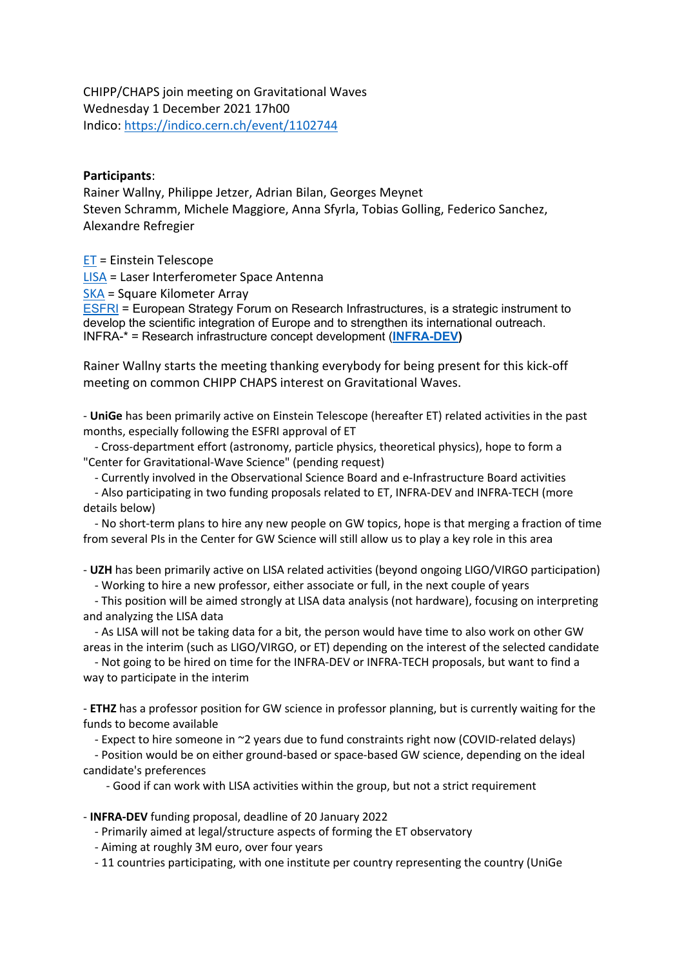CHIPP/CHAPS join meeting on Gravitational Waves Wednesday 1 December 2021 17h00 Indico: https://indico.cern.ch/event/1102744

## **Participants**:

Rainer Wallny, Philippe Jetzer, Adrian Bilan, Georges Meynet Steven Schramm, Michele Maggiore, Anna Sfyrla, Tobias Golling, Federico Sanchez, Alexandre Refregier

ET = Einstein Telescope

LISA = Laser Interferometer Space Antenna

SKA = Square Kilometer Array

ESFRI = European Strategy Forum on Research Infrastructures, is a strategic instrument to develop the scientific integration of Europe and to strengthen its international outreach. INFRA-\* = Research infrastructure concept development (**INFRA-DEV)**

Rainer Wallny starts the meeting thanking everybody for being present for this kick-off meeting on common CHIPP CHAPS interest on Gravitational Waves.

- **UniGe** has been primarily active on Einstein Telescope (hereafter ET) related activities in the past months, especially following the ESFRI approval of ET

 - Cross-department effort (astronomy, particle physics, theoretical physics), hope to form a "Center for Gravitational-Wave Science" (pending request)

- Currently involved in the Observational Science Board and e-Infrastructure Board activities

 - Also participating in two funding proposals related to ET, INFRA-DEV and INFRA-TECH (more details below)

 - No short-term plans to hire any new people on GW topics, hope is that merging a fraction of time from several PIs in the Center for GW Science will still allow us to play a key role in this area

- **UZH** has been primarily active on LISA related activities (beyond ongoing LIGO/VIRGO participation)

- Working to hire a new professor, either associate or full, in the next couple of years

 - This position will be aimed strongly at LISA data analysis (not hardware), focusing on interpreting and analyzing the LISA data

 - As LISA will not be taking data for a bit, the person would have time to also work on other GW areas in the interim (such as LIGO/VIRGO, or ET) depending on the interest of the selected candidate

 - Not going to be hired on time for the INFRA-DEV or INFRA-TECH proposals, but want to find a way to participate in the interim

- **ETHZ** has a professor position for GW science in professor planning, but is currently waiting for the funds to become available

- Expect to hire someone in ~2 years due to fund constraints right now (COVID-related delays)

 - Position would be on either ground-based or space-based GW science, depending on the ideal candidate's preferences

- Good if can work with LISA activities within the group, but not a strict requirement

- **INFRA-DEV** funding proposal, deadline of 20 January 2022

- Primarily aimed at legal/structure aspects of forming the ET observatory

- Aiming at roughly 3M euro, over four years

- 11 countries participating, with one institute per country representing the country (UniGe